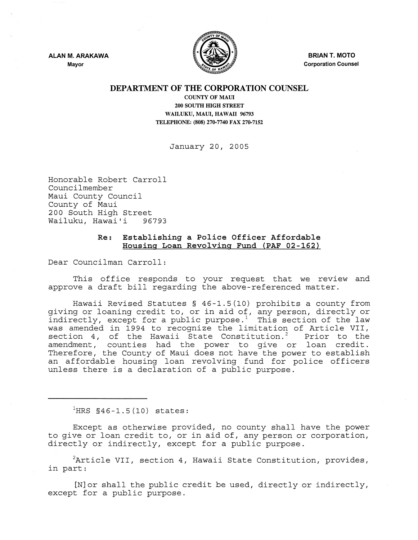ALAN M. ARAKAWA Mayor



BRIAN T. MOTO Corporation Counsel

## DEPARTMENT OF THE CORPORATION COUNSEL

COUNTY OF MAUl 200 SOUTH HIGH STREET WAILUKU, MAUI, HAWAII 96793 TELEPHONE: (808) 270-7740 FAX 270-7152

January 20, 2005

Honorable Robert Carroll Councilmember Maui County Council County of Maui 200 South High Street<br>Wailuku, Hawai'i 96793 Wailuku, Hawai'i

## Re: Establishing a Police Officer Affordable Housing Loan Revolving Fund (PAF 02-162)

Dear Councilman Carroll:

This office responds to your request that we review and approve a draft bill regarding the above-referenced matter.

Hawaii Revised Statutes § 46-1.5(10) prohibits a county from giving or loaning credit to, or in aid of, any person, directly or indirectly, except for a public purpose.<sup>1</sup> This section of the law was amended in 1994 to recognize the limitation of Article VII,<br>section 4, of the Hawaii State Constitution.<sup>2</sup> Prior to the section 4, of the Hawaii State Constitution.<sup>2</sup> amendment, counties had the power to give or loan credit. Therefore, the County of Maui does not have the power to establish an affordable housing loan revolving fund for police officers unless there is a declaration of a public purpose.

 ${}^{1}$ HRS §46-1.5(10) states:

Except as otherwise provided, no county shall have the power to give or loan credit to, or in aid of, any person or corporation, directly or indirectly, except for a public purpose.

 ${}^{2}$ Article VII, section 4, Hawaii State Constitution, provides, in part:

[N]or shall the public credit be used, directly or indirectly, except for a public purpose.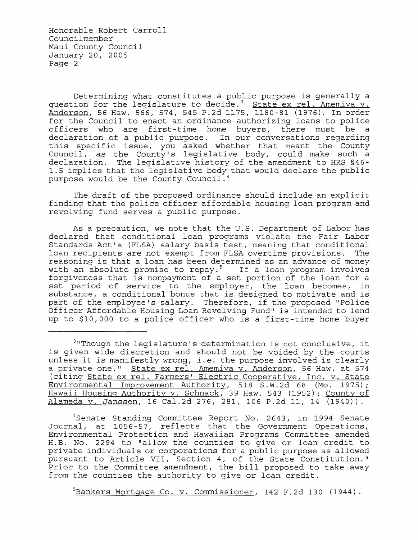Honorable Robert Carroll Councilmember Maui County Council January 20, 2005 Page 2

Determining what constitutes a public purpose is generally a question for the legislature to decide.<sup>3</sup> State ex rel. Amemiya v. Anderson, 56 Haw. 566, 574, 545 P.2d 1175, 1180-81 (1976). In order for the Council to enact an ordinance authorizing loans to police officers who are first-time home buyers, there must be a declaration of a public purpose. In our conversations regarding this specific issue, you asked whether that meant the County Council, as the County's legislative body, could make such a declaration. The legislative history of the amendment to HRS §46- 1.5 implies that the legislative body that would declare the public purpose would be the County Council. <sup>4</sup>

The draft of the proposed ordinance should include an explicit finding that the police officer affordable housing loan program and revolving fund serves a public purpose.

As a precaution, we note that the U.S. Department of Labor has declared that conditional loan programs violate the Fair Labor Standards Act's (FLSA) salary basis test, meaning that conditional loan recipients are not exempt from FLSA overtime provisions. reasoning is that a loan has been determined as an advance of money reaboning is that a foan has seen accordinate as an advance of money<br>with an absolute promise to repay.<sup>5</sup> If a loan program involves forgiveness that is nonpayment of a set portion of the loan for a set period of service to the employer, the loan becomes, in substance, a conditional bonus that is designed to motivate and is part of the employee's salary. Therefore, if the proposed "Police Officer Affordable Housing Loan Revolving Fund" is intended to lend up to \$10,000 to a police officer who is a first-time home buyer

<sup>3</sup>"Though the legislature's determination is not conclusive, it is given wide discretion and should not be voided by the courts unless it is manifestly wrong, *i.e.* the purpose involved is clearly a private one." State ex reI. Amemiya v. Anderson, 56 Haw. at 574 (citing State ex reI. Farmers' Electric Cooperative, Inc. v. State Environmental Improvement Authority, 518 S.W.2d 68 (Mo. 1975); Hawaii Housing Authority v. Schnack, 39 Haw. 543 (1952) *i* County of Alameda v. Janssen, 16 Cal.2d 276, 281, 106 P.2d 11, 14 (1940)).

4Senate Standing Committee Report No. 2643, in 1994 Senate Journal, at 1056-57, reflects that the Government Operations, Environmental Protection and Hawaiian Programs Committee amended H.B. No. 2294 to "allow the counties to give or loan credit to private individuals or corporations for a public purpose as allowed pursuant to Article VII, Section 4, of the State Constitution." Prior to the Committee amendment, the bill proposed to take away from the counties the authority to give or loan credit.

 $5$ Bankers Mortgage Co. v. Commissioner, 142 F.2d 130 (1944).